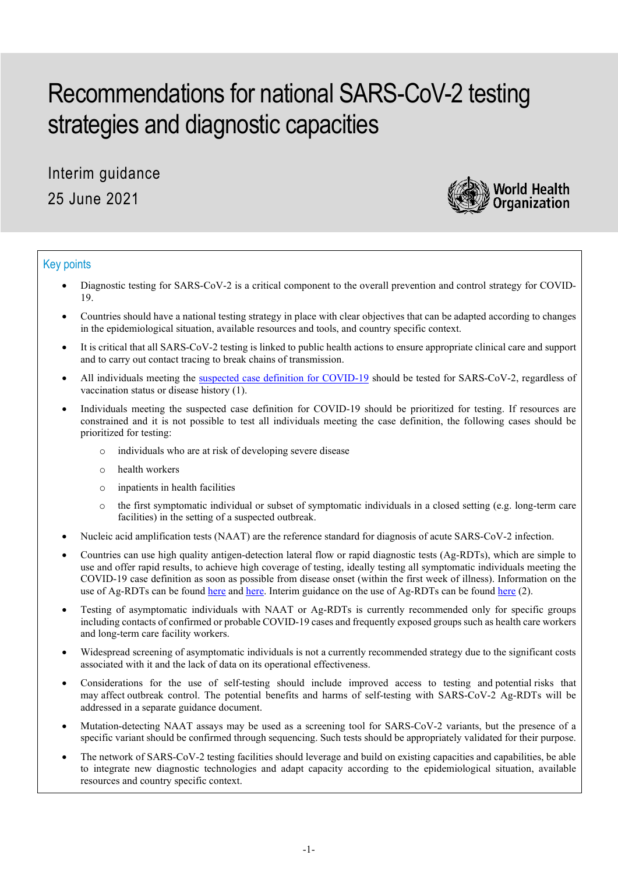# Recommendations for national SARS-CoV-2 testing strategies and diagnostic capacities

Interim guidance 25 June 2021



# Key points

- Diagnostic testing for SARS-CoV-2 is a critical component to the overall prevention and control strategy for COVID-19.
- Countries should have a national testing strategy in place with clear objectives that can be adapted according to changes in the epidemiological situation, available resources and tools, and country specific context.
- It is critical that all SARS-CoV-2 testing is linked to public health actions to ensure appropriate clinical care and support and to carry out contact tracing to break chains of transmission.
- All individuals meeting the suspected [case definition for](https://www.who.int/publications/i/item/WHO-2019-nCoV-Surveillance_Case_Definition-2020.2) COVID-19 should be tested for SARS-CoV-2, regardless of vaccination status or disease history (1).
- Individuals meeting the suspected case definition for COVID-19 should be prioritized for testing. If resources are constrained and it is not possible to test all individuals meeting the case definition, the following cases should be prioritized for testing:
	- o individuals who are at risk of developing severe disease
	- o health workers
	- o inpatients in health facilities
	- o the first symptomatic individual or subset of symptomatic individuals in a closed setting (e.g. long-term care facilities) in the setting of a suspected outbreak.
- Nucleic acid amplification tests (NAAT) are the reference standard for diagnosis of acute SARS-CoV-2 infection.
- Countries can use high quality antigen-detection lateral flow or rapid diagnostic tests (Ag-RDTs), which are simple to use and offer rapid results, to achieve high coverage of testing, ideally testing all symptomatic individuals meeting the COVID-19 case definition as soon as possible from disease onset (within the first week of illness). Information on the use of Ag-RDTs can be found [here](https://www.who.int/multi-media/details/diagnostic-testing-for-sars-cov-2-infection) and [here.](https://www.who.int/multi-media/details/use-of-antigen-detection-rapid-diagnostic-testing) Interim guidance on the use of Ag-RDTs can be foun[d here](https://www.who.int/publications/i/item/antigen-detection-in-the-diagnosis-of-sars-cov-2infection-using-rapid-immunoassays) (2).
- Testing of asymptomatic individuals with NAAT or Ag-RDTs is currently recommended only for specific groups including contacts of confirmed or probable COVID-19 cases and frequently exposed groups such as health care workers and long-term care facility workers.
- Widespread screening of asymptomatic individuals is not a currently recommended strategy due to the significant costs associated with it and the lack of data on its operational effectiveness.
- Considerations for the use of self-testing should include improved access to testing and potential risks that may affect outbreak control. The potential benefits and harms of self-testing with SARS-CoV-2 Ag-RDTs will be addressed in a separate guidance document.
- Mutation-detecting NAAT assays may be used as a screening tool for SARS-CoV-2 variants, but the presence of a specific variant should be confirmed through sequencing. Such tests should be appropriately validated for their purpose.
- The network of SARS-CoV-2 testing facilities should leverage and build on existing capacities and capabilities, be able to integrate new diagnostic technologies and adapt capacity according to the epidemiological situation, available resources and country specific context.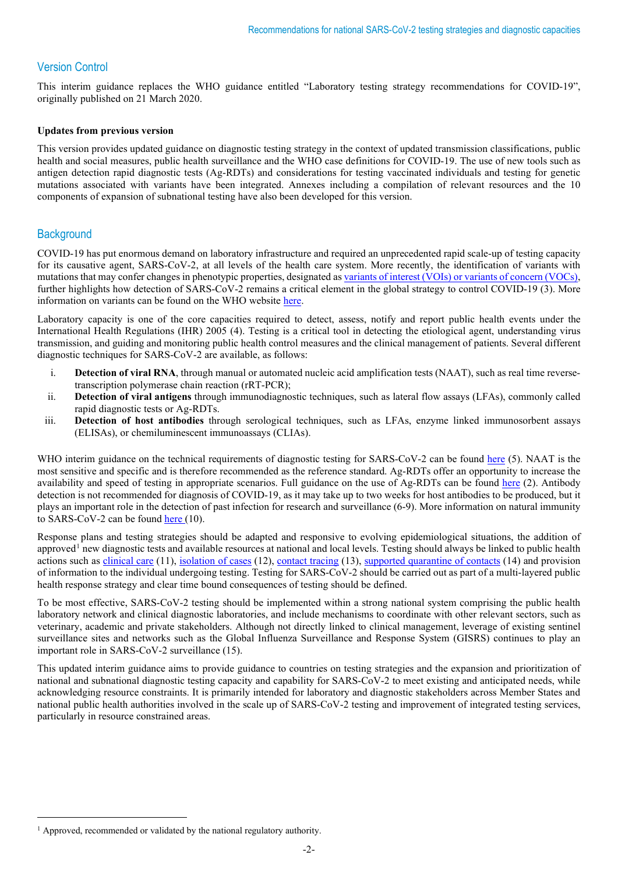# Version Control

This interim guidance replaces the WHO guidance entitled "Laboratory testing strategy recommendations for COVID-19", originally published on 21 March 2020.

## **Updates from previous version**

This version provides updated guidance on diagnostic testing strategy in the context of updated transmission classifications, public health and social measures, public health surveillance and the WHO case definitions for COVID-19. The use of new tools such as antigen detection rapid diagnostic tests (Ag-RDTs) and considerations for testing vaccinated individuals and testing for genetic mutations associated with variants have been integrated. Annexes including a compilation of relevant resources and the 10 components of expansion of subnational testing have also been developed for this version.

# **Background**

COVID-19 has put enormous demand on laboratory infrastructure and required an unprecedented rapid scale-up of testing capacity for its causative agent, SARS-CoV-2, at all levels of the health care system. More recently, the identification of variants with mutations that may confer changes in phenotypic properties, designated a[s variants of interest \(VOIs\) or variants of concern \(VOCs\),](https://www.who.int/publications/m/item/covid-19-weekly-epidemiological-update) further highlights how detection of SARS-CoV-2 remains a critical element in the global strategy to control COVID-19 (3). More information on variants can be found on the WHO website [here.](https://www.who.int/en/activities/tracking-SARS-CoV-2-variants/)

Laboratory capacity is one of the core capacities required to detect, assess, notify and report public health events under the International Health Regulations (IHR) 2005 (4). Testing is a critical tool in detecting the etiological agent, understanding virus transmission, and guiding and monitoring public health control measures and the clinical management of patients. Several different diagnostic techniques for SARS-CoV-2 are available, as follows:

- i. **Detection of viral RNA**, through manual or automated nucleic acid amplification tests (NAAT), such as real time reversetranscription polymerase chain reaction (rRT-PCR);
- ii. **Detection of viral antigens** through immunodiagnostic techniques, such as lateral flow assays (LFAs), commonly called rapid diagnostic tests or Ag-RDTs.
- iii. **Detection of host antibodies** through serological techniques, such as LFAs, enzyme linked immunosorbent assays (ELISAs), or chemiluminescent immunoassays (CLIAs).

WHO interim guidance on the technical requirements of diagnostic testing for SARS-CoV-2 can be found [here](https://www.who.int/publications/i/item/diagnostic-testing-for-sars-cov-2) (5). NAAT is the most sensitive and specific and is therefore recommended as the reference standard. Ag-RDTs offer an opportunity to increase the availability and speed of testing in appropriate scenarios. Full guidance on the use of Ag-RDTs can be found [here](https://www.who.int/publications/i/item/antigen-detection-in-the-diagnosis-of-sars-cov-2infection-using-rapid-immunoassays) (2). Antibody detection is not recommended for diagnosis of COVID-19, as it may take up to two weeks for host antibodies to be produced, but it plays an important role in the detection of past infection for research and surveillance (6-9). More information on natural immunity to SARS-CoV-2 can be foun[d here](https://www.who.int/publications/i/item/WHO-2019-nCoV-Sci_Brief-Natural_immunity-2021.1) (10).

Response plans and testing strategies should be adapted and responsive to evolving epidemiological situations, the addition of approved<sup>[1](#page-1-0)</sup> new diagnostic tests and available resources at national and local levels. Testing should always be linked to public health actions such as *clinical care* (11), [isolation of cases](https://www.who.int/publications/i/item/WHO-2019-nCoV-IPC-2020.4) (12), [contact tracing](https://www.who.int/publications/i/item/contact-tracing-in-the-context-of-covid-19) (13), [supported quarantine of contacts](https://www.who.int/publications/i/item/considerations-for-quarantine-of-individuals-in-the-context-of-containment-for-coronavirus-disease-(covid-19)) (14) and provision of information to the individual undergoing testing. Testing for SARS-CoV-2 should be carried out as part of a multi-layered public health response strategy and clear time bound consequences of testing should be defined.

To be most effective, SARS-CoV-2 testing should be implemented within a strong national system comprising the public health laboratory network and clinical diagnostic laboratories, and include mechanisms to coordinate with other relevant sectors, such as veterinary, academic and private stakeholders. Although not directly linked to clinical management, leverage of existing sentinel surveillance sites and networks such as the Global Influenza Surveillance and Response System (GISRS) continues to play an important role in SARS-CoV-2 surveillance (15).

This updated interim guidance aims to provide guidance to countries on testing strategies and the expansion and prioritization of national and subnational diagnostic testing capacity and capability for SARS-CoV-2 to meet existing and anticipated needs, while acknowledging resource constraints. It is primarily intended for laboratory and diagnostic stakeholders across Member States and national public health authorities involved in the scale up of SARS-CoV-2 testing and improvement of integrated testing services, particularly in resource constrained areas.

<span id="page-1-0"></span><sup>&</sup>lt;sup>1</sup> Approved, recommended or validated by the national regulatory authority.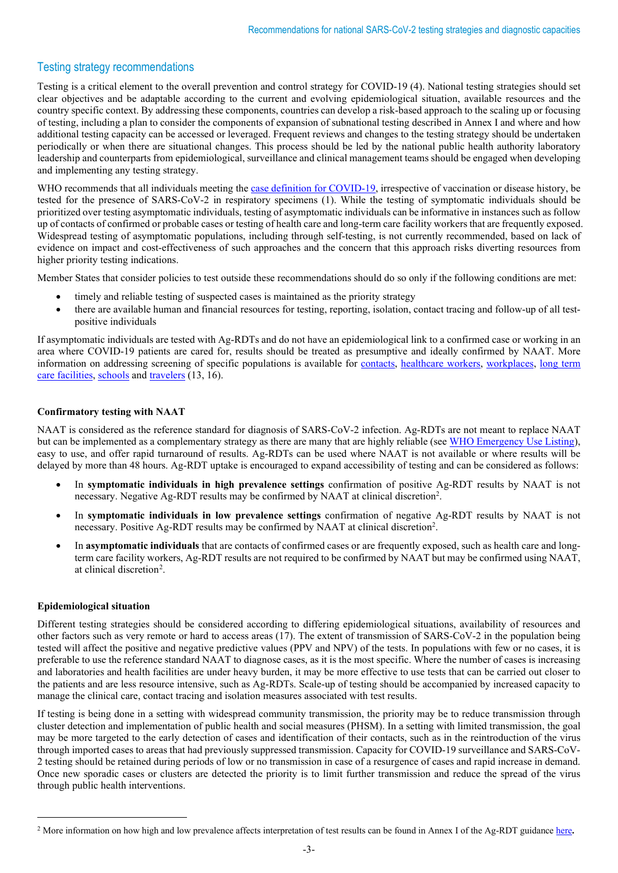# Testing strategy recommendations

Testing is a critical element to the overall prevention and control strategy for COVID-19 (4). National testing strategies should set clear objectives and be adaptable according to the current and evolving epidemiological situation, available resources and the country specific context. By addressing these components, countries can develop a risk-based approach to the scaling up or focusing of testing, including a plan to consider the components of expansion of subnational testing described in Annex I and where and how additional testing capacity can be accessed or leveraged. Frequent reviews and changes to the testing strategy should be undertaken periodically or when there are situational changes. This process should be led by the national public health authority laboratory leadership and counterparts from epidemiological, surveillance and clinical management teams should be engaged when developing and implementing any testing strategy.

WHO recommends that all individuals meeting the [case definition for COVID-19,](https://www.who.int/publications/i/item/WHO-2019-nCoV-Surveillance_Case_Definition-2020.2) irrespective of vaccination or disease history, be tested for the presence of SARS-CoV-2 in respiratory specimens (1). While the testing of symptomatic individuals should be prioritized over testing asymptomatic individuals, testing of asymptomatic individuals can be informative in instances such as follow up of contacts of confirmed or probable cases or testing of health care and long-term care facility workers that are frequently exposed. Widespread testing of asymptomatic populations, including through self-testing, is not currently recommended, based on lack of evidence on impact and cost-effectiveness of such approaches and the concern that this approach risks diverting resources from higher priority testing indications.

Member States that consider policies to test outside these recommendations should do so only if the following conditions are met:

- timely and reliable testing of suspected cases is maintained as the priority strategy
- there are available human and financial resources for testing, reporting, isolation, contact tracing and follow-up of all testpositive individuals

If asymptomatic individuals are tested with Ag-RDTs and do not have an epidemiological link to a confirmed case or working in an area where COVID-19 patients are cared for, results should be treated as presumptive and ideally confirmed by NAAT. More information on addressing screening of specific populations is available for [contacts,](https://www.who.int/publications/i/item/contact-tracing-in-the-context-of-covid-19) [healthcare workers,](https://www.who.int/publications/i/item/10665-336265) [workplaces,](https://www.who.int/publications/i/item/WHO-2019-nCoV-workplace-actions-policy-brief-2021-1) [long term](https://www.who.int/publications/i/item/WHO-2019-nCoV-IPC_long_term_care-2021.1)  [care facilities,](https://www.who.int/publications/i/item/WHO-2019-nCoV-IPC_long_term_care-2021.1) [schools](https://www.who.int/publications/i/item/considerations-for-school-related-public-health-measures-in-the-context-of-covid-19) and [travelers](https://www.who.int/publications/i/item/WHO-2019-nCoV-Sci_Brief-international_travel_testing-2020.1) (13, 16).

## **Confirmatory testing with NAAT**

NAAT is considered as the reference standard for diagnosis of SARS-CoV-2 infection. Ag-RDTs are not meant to replace NAAT but can be implemented as a complementary strategy as there are many that are highly reliable (see [WHO Emergency Use Listing\)](https://extranet.who.int/pqweb/vitro-diagnostics/coronavirus-disease-covid-19-pandemic-%E2%80%94-emergency-use-listing-procedure-eul-open), easy to use, and offer rapid turnaround of results. Ag-RDTs can be used where NAAT is not available or where results will be delayed by more than 48 hours. Ag-RDT uptake is encouraged to expand accessibility of testing and can be considered as follows:

- In **symptomatic individuals in high prevalence settings** confirmation of positive Ag-RDT results by NAAT is not necessary. Negative Ag-RDT results may be confirmed by NAAT at clinical discretion<sup>2</sup>.
- In **symptomatic individuals in low prevalence settings** confirmation of negative Ag-RDT results by NAAT is not necessary. Positive Ag-RDT results may be confirmed by NAAT at clinical discretion<sup>2</sup>.
- In **asymptomatic individuals** that are contacts of confirmed cases or are frequently exposed, such as health care and longterm care facility workers, Ag-RDT results are not required to be confirmed by NAAT but may be confirmed using NAAT, at clinical discretion<sup>[2](#page-2-0)</sup>.

## **Epidemiological situation**

Different testing strategies should be considered according to differing epidemiological situations, availability of resources and other factors such as very remote or hard to access areas (17). The extent of transmission of SARS-CoV-2 in the population being tested will affect the positive and negative predictive values (PPV and NPV) of the tests. In populations with few or no cases, it is preferable to use the reference standard NAAT to diagnose cases, as it is the most specific. Where the number of cases is increasing and laboratories and health facilities are under heavy burden, it may be more effective to use tests that can be carried out closer to the patients and are less resource intensive, such as Ag-RDTs. Scale-up of testing should be accompanied by increased capacity to manage the clinical care, contact tracing and isolation measures associated with test results.

If testing is being done in a setting with widespread community transmission, the priority may be to reduce transmission through cluster detection and implementation of public health and social measures (PHSM). In a setting with limited transmission, the goal may be more targeted to the early detection of cases and identification of their contacts, such as in the reintroduction of the virus through imported cases to areas that had previously suppressed transmission. Capacity for COVID-19 surveillance and SARS-CoV-2 testing should be retained during periods of low or no transmission in case of a resurgence of cases and rapid increase in demand. Once new sporadic cases or clusters are detected the priority is to limit further transmission and reduce the spread of the virus through public health interventions.

<span id="page-2-0"></span><sup>2</sup> More information on how high and low prevalence affects interpretation of test results can be found in Annex I of the Ag-RDT guidance [here](https://www.who.int/publications/i/item/antigen-detection-in-the-diagnosis-of-sars-cov-2infection-using-rapid-immunoassays)**.**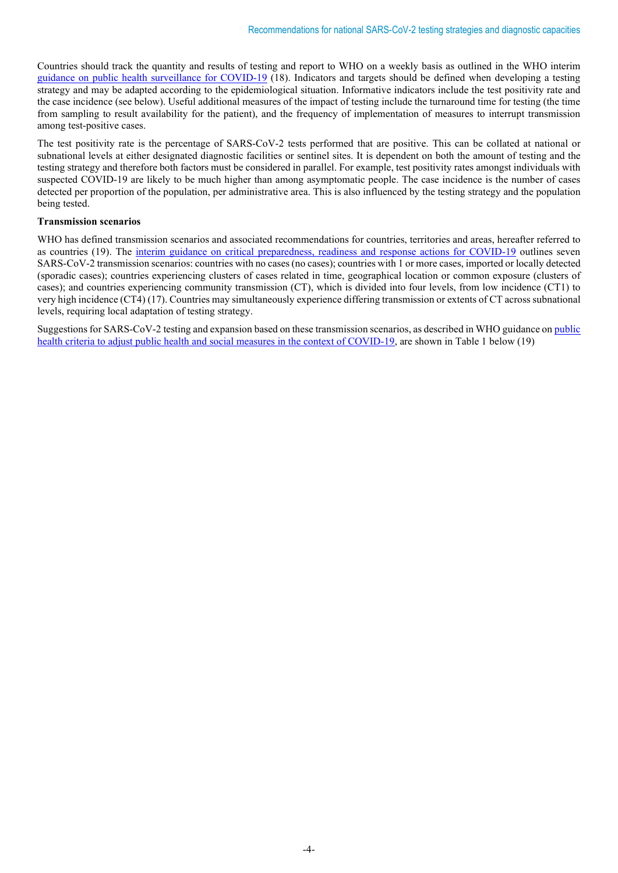Countries should track the quantity and results of testing and report to WHO on a weekly basis as outlined in the WHO interim [guidance on public health surveillance for COVID-19](https://www.who.int/publications/i/item/who-2019-nCoV-surveillanceguidance-2020.8) (18). Indicators and targets should be defined when developing a testing strategy and may be adapted according to the epidemiological situation. Informative indicators include the test positivity rate and the case incidence (see below). Useful additional measures of the impact of testing include the turnaround time for testing (the time from sampling to result availability for the patient), and the frequency of implementation of measures to interrupt transmission among test-positive cases.

The test positivity rate is the percentage of SARS-CoV-2 tests performed that are positive. This can be collated at national or subnational levels at either designated diagnostic facilities or sentinel sites. It is dependent on both the amount of testing and the testing strategy and therefore both factors must be considered in parallel. For example, test positivity rates amongst individuals with suspected COVID-19 are likely to be much higher than among asymptomatic people. The case incidence is the number of cases detected per proportion of the population, per administrative area. This is also influenced by the testing strategy and the population being tested.

## **Transmission scenarios**

WHO has defined transmission scenarios and associated recommendations for countries, territories and areas, hereafter referred to as countries (19). The [interim guidance on critical preparedness, readiness and response actions for COVID-19](https://www.who.int/publications/i/item/critical-preparedness-readiness-and-response-actions-for-covid-19) outlines seven SARS-CoV-2 transmission scenarios: countries with no cases (no cases); countries with 1 or more cases, imported or locally detected (sporadic cases); countries experiencing clusters of cases related in time, geographical location or common exposure (clusters of cases); and countries experiencing community transmission (CT), which is divided into four levels, from low incidence (CT1) to very high incidence (CT4) (17). Countries may simultaneously experience differing transmission or extents of CT across subnational levels, requiring local adaptation of testing strategy.

Suggestions for SARS-CoV-2 testing and expansion based on these transmission scenarios, as described in WHO guidance o[n public](https://www.who.int/publications/i/item/considerations-in-adjusting-public-health-and-social-measures-in-the-context-of-covid-19-interim-guidance)  [health criteria to adjust public health and social measures in the context of COVID-19,](https://www.who.int/publications/i/item/considerations-in-adjusting-public-health-and-social-measures-in-the-context-of-covid-19-interim-guidance) are shown in Table 1 below (19)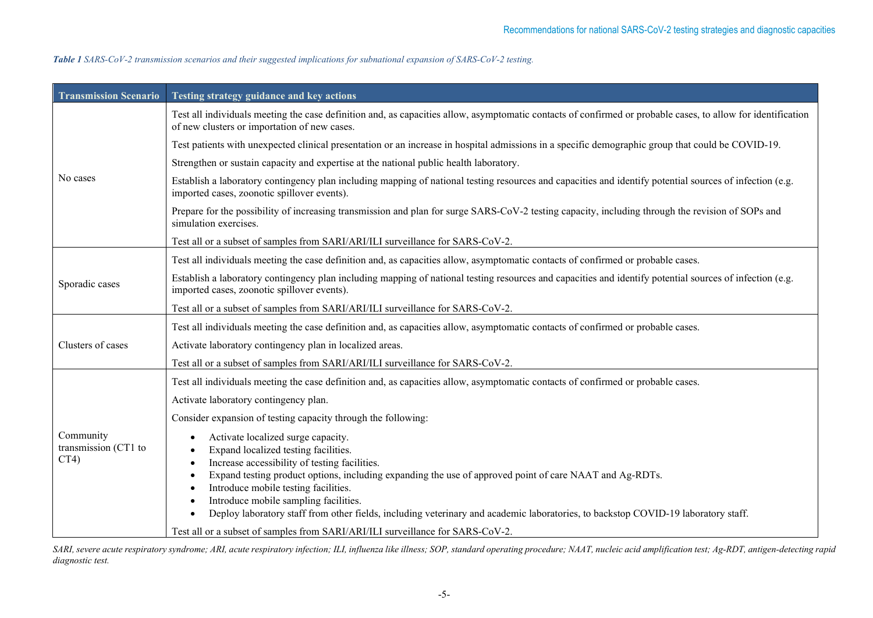| Table 1 SARS-CoV-2 transmission scenarios and their suggested implications for subnational expansion of SARS-CoV-2 testing. |  |
|-----------------------------------------------------------------------------------------------------------------------------|--|
|-----------------------------------------------------------------------------------------------------------------------------|--|

| <b>Transmission Scenario</b>              | Testing strategy guidance and key actions                                                                                                                                                                                                                                                                                                                                                                                                                                                                                                      |
|-------------------------------------------|------------------------------------------------------------------------------------------------------------------------------------------------------------------------------------------------------------------------------------------------------------------------------------------------------------------------------------------------------------------------------------------------------------------------------------------------------------------------------------------------------------------------------------------------|
|                                           | Test all individuals meeting the case definition and, as capacities allow, asymptomatic contacts of confirmed or probable cases, to allow for identification<br>of new clusters or importation of new cases.                                                                                                                                                                                                                                                                                                                                   |
| No cases                                  | Test patients with unexpected clinical presentation or an increase in hospital admissions in a specific demographic group that could be COVID-19.                                                                                                                                                                                                                                                                                                                                                                                              |
|                                           | Strengthen or sustain capacity and expertise at the national public health laboratory.                                                                                                                                                                                                                                                                                                                                                                                                                                                         |
|                                           | Establish a laboratory contingency plan including mapping of national testing resources and capacities and identify potential sources of infection (e.g.<br>imported cases, zoonotic spillover events).                                                                                                                                                                                                                                                                                                                                        |
|                                           | Prepare for the possibility of increasing transmission and plan for surge SARS-CoV-2 testing capacity, including through the revision of SOPs and<br>simulation exercises.                                                                                                                                                                                                                                                                                                                                                                     |
|                                           | Test all or a subset of samples from SARI/ARI/ILI surveillance for SARS-CoV-2.                                                                                                                                                                                                                                                                                                                                                                                                                                                                 |
|                                           | Test all individuals meeting the case definition and, as capacities allow, asymptomatic contacts of confirmed or probable cases.                                                                                                                                                                                                                                                                                                                                                                                                               |
| Sporadic cases                            | Establish a laboratory contingency plan including mapping of national testing resources and capacities and identify potential sources of infection (e.g.<br>imported cases, zoonotic spillover events).                                                                                                                                                                                                                                                                                                                                        |
|                                           | Test all or a subset of samples from SARI/ARI/ILI surveillance for SARS-CoV-2.                                                                                                                                                                                                                                                                                                                                                                                                                                                                 |
|                                           | Test all individuals meeting the case definition and, as capacities allow, asymptomatic contacts of confirmed or probable cases.                                                                                                                                                                                                                                                                                                                                                                                                               |
| Clusters of cases                         | Activate laboratory contingency plan in localized areas.                                                                                                                                                                                                                                                                                                                                                                                                                                                                                       |
|                                           | Test all or a subset of samples from SARI/ARI/ILI surveillance for SARS-CoV-2.                                                                                                                                                                                                                                                                                                                                                                                                                                                                 |
|                                           | Test all individuals meeting the case definition and, as capacities allow, asymptomatic contacts of confirmed or probable cases.                                                                                                                                                                                                                                                                                                                                                                                                               |
| Community<br>transmission (CT1 to<br>CT4) | Activate laboratory contingency plan.                                                                                                                                                                                                                                                                                                                                                                                                                                                                                                          |
|                                           | Consider expansion of testing capacity through the following:                                                                                                                                                                                                                                                                                                                                                                                                                                                                                  |
|                                           | Activate localized surge capacity.<br>Expand localized testing facilities.<br>Increase accessibility of testing facilities.<br>Expand testing product options, including expanding the use of approved point of care NAAT and Ag-RDTs.<br>Introduce mobile testing facilities.<br>Introduce mobile sampling facilities.<br>Deploy laboratory staff from other fields, including veterinary and academic laboratories, to backstop COVID-19 laboratory staff.<br>Test all or a subset of samples from SARI/ARI/ILI surveillance for SARS-CoV-2. |

*SARI, severe acute respiratory syndrome; ARI, acute respiratory infection; ILI, influenza like illness; SOP, standard operating procedure; NAAT, nucleic acid amplification test; Ag-RDT, antigen-detecting rapid diagnostic test.*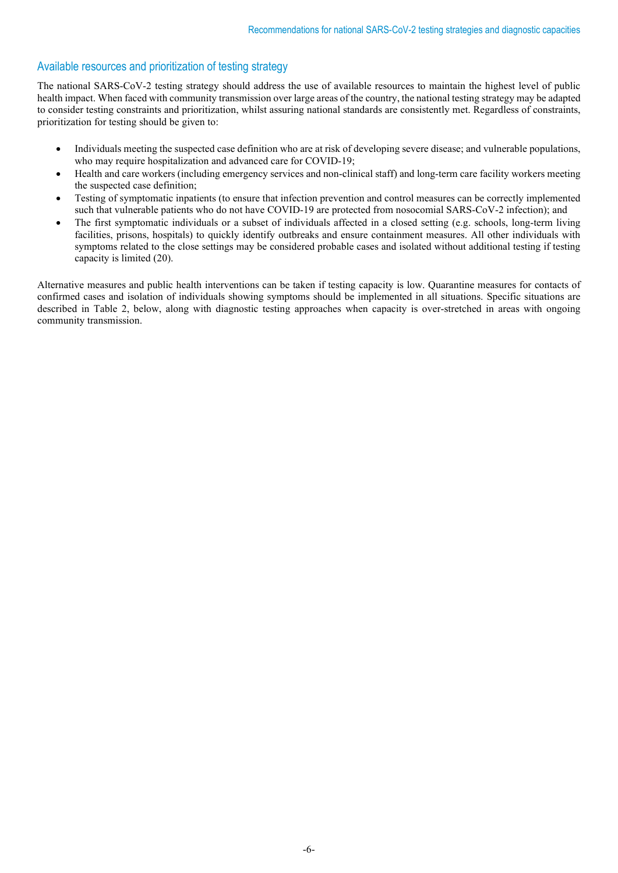# Available resources and prioritization of testing strategy

The national SARS-CoV-2 testing strategy should address the use of available resources to maintain the highest level of public health impact. When faced with community transmission over large areas of the country, the national testing strategy may be adapted to consider testing constraints and prioritization, whilst assuring national standards are consistently met. Regardless of constraints, prioritization for testing should be given to:

- Individuals meeting the suspected case definition who are at risk of developing severe disease; and vulnerable populations, who may require hospitalization and advanced care for COVID-19;
- Health and care workers (including emergency services and non-clinical staff) and long-term care facility workers meeting the suspected case definition;
- Testing of symptomatic inpatients (to ensure that infection prevention and control measures can be correctly implemented such that vulnerable patients who do not have COVID-19 are protected from nosocomial SARS-CoV-2 infection); and
- The first symptomatic individuals or a subset of individuals affected in a closed setting (e.g. schools, long-term living facilities, prisons, hospitals) to quickly identify outbreaks and ensure containment measures. All other individuals with symptoms related to the close settings may be considered probable cases and isolated without additional testing if testing capacity is limited (20).

Alternative measures and public health interventions can be taken if testing capacity is low. Quarantine measures for contacts of confirmed cases and isolation of individuals showing symptoms should be implemented in all situations. Specific situations are described in Table 2, below, along with diagnostic testing approaches when capacity is over-stretched in areas with ongoing community transmission.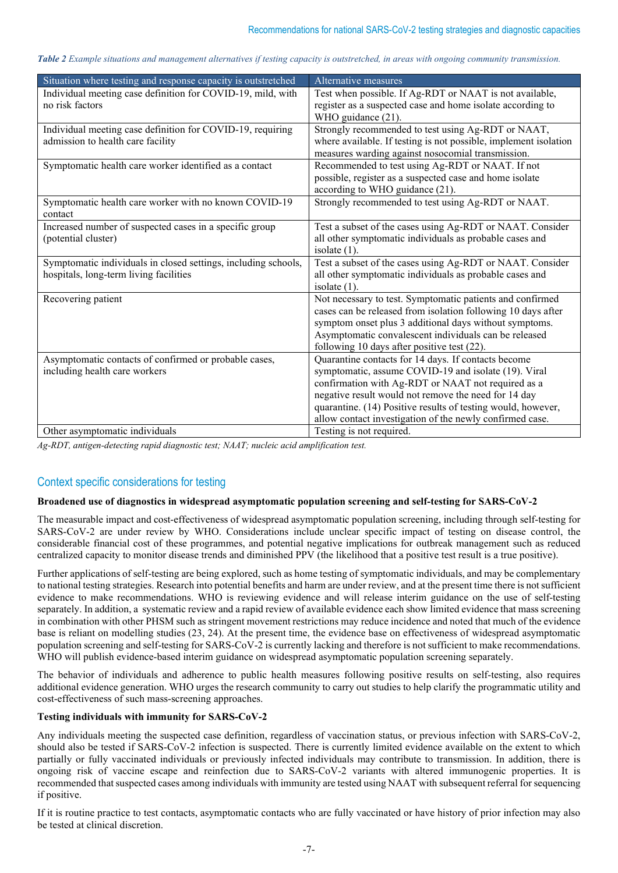*Table 2 Example situations and management alternatives if testing capacity is outstretched, in areas with ongoing community transmission.*

| Situation where testing and response capacity is outstretched  | Alternative measures                                             |
|----------------------------------------------------------------|------------------------------------------------------------------|
| Individual meeting case definition for COVID-19, mild, with    | Test when possible. If Ag-RDT or NAAT is not available,          |
| no risk factors                                                | register as a suspected case and home isolate according to       |
|                                                                | WHO guidance (21).                                               |
| Individual meeting case definition for COVID-19, requiring     | Strongly recommended to test using Ag-RDT or NAAT,               |
| admission to health care facility                              | where available. If testing is not possible, implement isolation |
|                                                                | measures warding against nosocomial transmission.                |
| Symptomatic health care worker identified as a contact         | Recommended to test using Ag-RDT or NAAT. If not                 |
|                                                                | possible, register as a suspected case and home isolate          |
|                                                                | according to WHO guidance (21).                                  |
| Symptomatic health care worker with no known COVID-19          | Strongly recommended to test using Ag-RDT or NAAT.               |
| contact                                                        |                                                                  |
| Increased number of suspected cases in a specific group        | Test a subset of the cases using Ag-RDT or NAAT. Consider        |
| (potential cluster)                                            | all other symptomatic individuals as probable cases and          |
|                                                                | isolate $(1)$ .                                                  |
| Symptomatic individuals in closed settings, including schools, | Test a subset of the cases using Ag-RDT or NAAT. Consider        |
| hospitals, long-term living facilities                         | all other symptomatic individuals as probable cases and          |
|                                                                | isolate $(1)$ .                                                  |
| Recovering patient                                             | Not necessary to test. Symptomatic patients and confirmed        |
|                                                                | cases can be released from isolation following 10 days after     |
|                                                                | symptom onset plus 3 additional days without symptoms.           |
|                                                                | Asymptomatic convalescent individuals can be released            |
|                                                                | following 10 days after positive test (22).                      |
| Asymptomatic contacts of confirmed or probable cases,          | Quarantine contacts for 14 days. If contacts become              |
| including health care workers                                  | symptomatic, assume COVID-19 and isolate (19). Viral             |
|                                                                | confirmation with Ag-RDT or NAAT not required as a               |
|                                                                | negative result would not remove the need for 14 day             |
|                                                                | quarantine. (14) Positive results of testing would, however,     |
|                                                                | allow contact investigation of the newly confirmed case.         |
| Other asymptomatic individuals                                 | Testing is not required.                                         |

*Ag-RDT, antigen-detecting rapid diagnostic test; NAAT; nucleic acid amplification test.*

# Context specific considerations for testing

## **Broadened use of diagnostics in widespread asymptomatic population screening and self-testing for SARS-CoV-2**

The measurable impact and cost-effectiveness of widespread asymptomatic population screening, including through self-testing for SARS-CoV-2 are under review by WHO. Considerations include unclear specific impact of testing on disease control, the considerable financial cost of these programmes, and potential negative implications for outbreak management such as reduced centralized capacity to monitor disease trends and diminished PPV (the likelihood that a positive test result is a true positive).

Further applications of self-testing are being explored, such as home testing of symptomatic individuals, and may be complementary to national testing strategies. Research into potential benefits and harm are under review, and at the present time there is not sufficient evidence to make recommendations. WHO is reviewing evidence and will release interim guidance on the use of self-testing separately. In addition, a systematic review and a rapid review of available evidence each show limited evidence that mass screening in combination with other PHSM such as stringent movement restrictions may reduce incidence and noted that much of the evidence base is reliant on modelling studies (23, 24). At the present time, the evidence base on effectiveness of widespread asymptomatic population screening and self-testing for SARS-CoV-2 is currently lacking and therefore is not sufficient to make recommendations. WHO will publish evidence-based interim guidance on widespread asymptomatic population screening separately.

The behavior of individuals and adherence to public health measures following positive results on self-testing, also requires additional evidence generation. WHO urges the research community to carry out studies to help clarify the programmatic utility and cost-effectiveness of such mass-screening approaches.

## **Testing individuals with immunity for SARS-CoV-2**

Any individuals meeting the suspected case definition, regardless of vaccination status, or previous infection with SARS-CoV-2, should also be tested if SARS-CoV-2 infection is suspected. There is currently limited evidence available on the extent to which partially or fully vaccinated individuals or previously infected individuals may contribute to transmission. In addition, there is ongoing risk of vaccine escape and reinfection due to SARS-CoV-2 variants with altered immunogenic properties. It is recommended that suspected cases among individuals with immunity are tested using NAAT with subsequent referral for sequencing if positive.

If it is routine practice to test contacts, asymptomatic contacts who are fully vaccinated or have history of prior infection may also be tested at clinical discretion.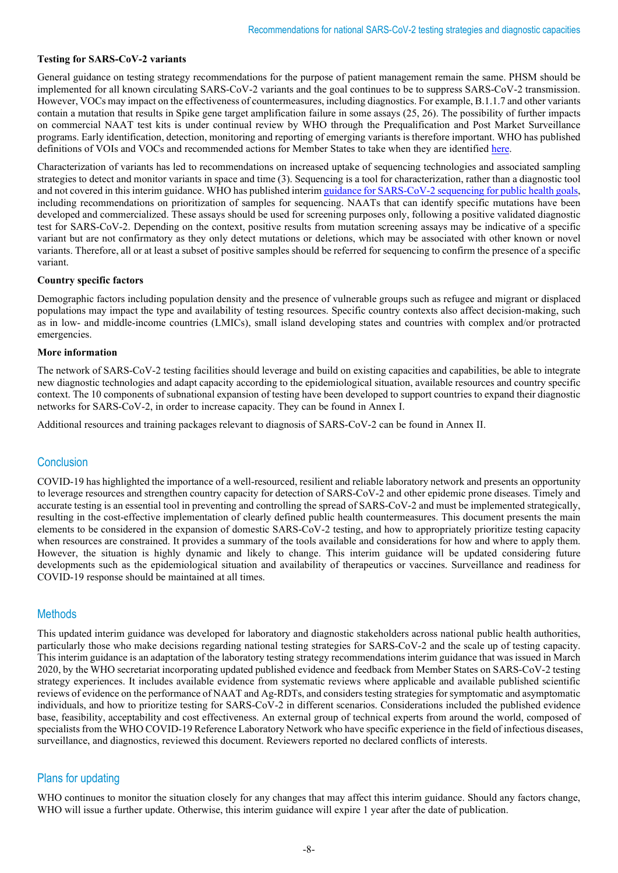## **Testing for SARS-CoV-2 variants**

General guidance on testing strategy recommendations for the purpose of patient management remain the same. PHSM should be implemented for all known circulating SARS-CoV-2 variants and the goal continues to be to suppress SARS-CoV-2 transmission. However, VOCs may impact on the effectiveness of countermeasures, including diagnostics. For example, B.1.1.7 and other variants contain a mutation that results in Spike gene target amplification failure in some assays (25, 26). The possibility of further impacts on commercial NAAT test kits is under continual review by WHO through the Prequalification and Post Market Surveillance programs. Early identification, detection, monitoring and reporting of emerging variants is therefore important. WHO has published definitions of VOIs and VOCs and recommended actions for Member States to take when they are identifie[d here.](https://www.who.int/publications/m/item/covid-19-weekly-epidemiological-update)

Characterization of variants has led to recommendations on increased uptake of sequencing technologies and associated sampling strategies to detect and monitor variants in space and time (3). Sequencing is a tool for characterization, rather than a diagnostic tool and not covered in this interim guidance. WHO has published interi[m guidance for SARS-CoV-2 sequencing for public health goals,](https://www.who.int/publications/i/item/WHO-2019-nCoV-genomic_sequencing-2021.1) including recommendations on prioritization of samples for sequencing. NAATs that can identify specific mutations have been developed and commercialized. These assays should be used for screening purposes only, following a positive validated diagnostic test for SARS-CoV-2. Depending on the context, positive results from mutation screening assays may be indicative of a specific variant but are not confirmatory as they only detect mutations or deletions, which may be associated with other known or novel variants. Therefore, all or at least a subset of positive samples should be referred for sequencing to confirm the presence of a specific variant.

#### **Country specific factors**

Demographic factors including population density and the presence of vulnerable groups such as refugee and migrant or displaced populations may impact the type and availability of testing resources. Specific country contexts also affect decision-making, such as in low- and middle-income countries (LMICs), small island developing states and countries with complex and/or protracted emergencies.

#### **More information**

The network of SARS-CoV-2 testing facilities should leverage and build on existing capacities and capabilities, be able to integrate new diagnostic technologies and adapt capacity according to the epidemiological situation, available resources and country specific context. The 10 components of subnational expansion of testing have been developed to support countries to expand their diagnostic networks for SARS-CoV-2, in order to increase capacity. They can be found in Annex I.

Additional resources and training packages relevant to diagnosis of SARS-CoV-2 can be found in Annex II.

## **Conclusion**

COVID-19 has highlighted the importance of a well-resourced, resilient and reliable laboratory network and presents an opportunity to leverage resources and strengthen country capacity for detection of SARS-CoV-2 and other epidemic prone diseases. Timely and accurate testing is an essential tool in preventing and controlling the spread of SARS-CoV-2 and must be implemented strategically, resulting in the cost-effective implementation of clearly defined public health countermeasures. This document presents the main elements to be considered in the expansion of domestic SARS-CoV-2 testing, and how to appropriately prioritize testing capacity when resources are constrained. It provides a summary of the tools available and considerations for how and where to apply them. However, the situation is highly dynamic and likely to change. This interim guidance will be updated considering future developments such as the epidemiological situation and availability of therapeutics or vaccines. Surveillance and readiness for COVID-19 response should be maintained at all times.

## **Methods**

This updated interim guidance was developed for laboratory and diagnostic stakeholders across national public health authorities, particularly those who make decisions regarding national testing strategies for SARS-CoV-2 and the scale up of testing capacity. This interim guidance is an adaptation of the laboratory testing strategy recommendations interim guidance that was issued in March 2020, by the WHO secretariat incorporating updated published evidence and feedback from Member States on SARS-CoV-2 testing strategy experiences. It includes available evidence from systematic reviews where applicable and available published scientific reviews of evidence on the performance of NAAT and Ag-RDTs, and considerstesting strategies for symptomatic and asymptomatic individuals, and how to prioritize testing for SARS-CoV-2 in different scenarios. Considerations included the published evidence base, feasibility, acceptability and cost effectiveness. An external group of technical experts from around the world, composed of specialistsfrom the WHO COVID-19 Reference Laboratory Network who have specific experience in the field of infectious diseases, surveillance, and diagnostics, reviewed this document. Reviewers reported no declared conflicts of interests.

# Plans for updating

WHO continues to monitor the situation closely for any changes that may affect this interim guidance. Should any factors change, WHO will issue a further update. Otherwise, this interim guidance will expire 1 year after the date of publication.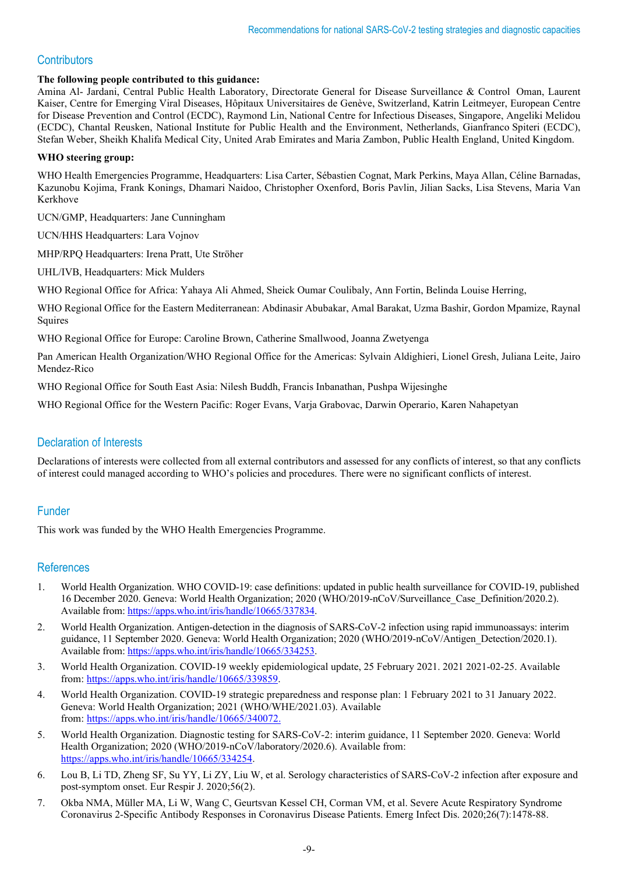# **Contributors**

## **The following people contributed to this guidance:**

Amina Al- Jardani, Central Public Health Laboratory, Directorate General for Disease Surveillance & Control Oman, Laurent Kaiser, Centre for Emerging Viral Diseases, Hôpitaux Universitaires de Genève, Switzerland, Katrin Leitmeyer, European Centre for Disease Prevention and Control (ECDC), Raymond Lin, National Centre for Infectious Diseases, Singapore, Angeliki Melidou (ECDC), Chantal Reusken, National Institute for Public Health and the Environment, Netherlands, Gianfranco Spiteri (ECDC), Stefan Weber, Sheikh Khalifa Medical City, United Arab Emirates and Maria Zambon, Public Health England, United Kingdom.

## **WHO steering group:**

WHO Health Emergencies Programme, Headquarters: Lisa Carter, Sébastien Cognat, Mark Perkins, Maya Allan, Céline Barnadas, Kazunobu Kojima, Frank Konings, Dhamari Naidoo, Christopher Oxenford, Boris Pavlin, Jilian Sacks, Lisa Stevens, Maria Van Kerkhove

UCN/GMP, Headquarters: Jane Cunningham

UCN/HHS Headquarters: Lara Vojnov

MHP/RPQ Headquarters: Irena Pratt, Ute Ströher

UHL/IVB, Headquarters: Mick Mulders

WHO Regional Office for Africa: Yahaya Ali Ahmed, Sheick Oumar Coulibaly, Ann Fortin, Belinda Louise Herring,

WHO Regional Office for the Eastern Mediterranean: Abdinasir Abubakar, Amal Barakat, Uzma Bashir, Gordon Mpamize, Raynal Squires

WHO Regional Office for Europe: Caroline Brown, Catherine Smallwood, Joanna Zwetyenga

Pan American Health Organization/WHO Regional Office for the Americas: Sylvain Aldighieri, Lionel Gresh, Juliana Leite, Jairo Mendez-Rico

WHO Regional Office for South East Asia: Nilesh Buddh, Francis Inbanathan, Pushpa Wijesinghe

WHO Regional Office for the Western Pacific: Roger Evans, Varja Grabovac, Darwin Operario, Karen Nahapetyan

# Declaration of Interests

Declarations of interests were collected from all external contributors and assessed for any conflicts of interest, so that any conflicts of interest could managed according to WHO's policies and procedures. There were no significant conflicts of interest.

## Funder

This work was funded by the WHO Health Emergencies Programme.

## **References**

- 1. World Health Organization. WHO COVID-19: case definitions: updated in public health surveillance for COVID-19, published 16 December 2020. Geneva: World Health Organization; 2020 (WHO/2019-nCoV/Surveillance\_Case\_Definition/2020.2). Available from: [https://apps.who.int/iris/handle/10665/337834.](https://apps.who.int/iris/handle/10665/337834)
- 2. World Health Organization. Antigen-detection in the diagnosis of SARS-CoV-2 infection using rapid immunoassays: interim guidance, 11 September 2020. Geneva: World Health Organization; 2020 (WHO/2019-nCoV/Antigen\_Detection/2020.1). Available from: [https://apps.who.int/iris/handle/10665/334253.](https://apps.who.int/iris/handle/10665/334253)
- 3. World Health Organization. COVID-19 weekly epidemiological update, 25 February 2021. 2021 2021-02-25. Available from: https://apps.who.int/iris/handle/10665/339859
- 4. World Health Organization. COVID-19 strategic preparedness and response plan: 1 February 2021 to 31 January 2022. Geneva: World Health Organization; 2021 (WHO/WHE/2021.03). Available from: [https://apps.who.int/iris/handle/10665/340072.](https://apps.who.int/iris/handle/10665/340072)
- 5. World Health Organization. Diagnostic testing for SARS-CoV-2: interim guidance, 11 September 2020. Geneva: World Health Organization; 2020 (WHO/2019-nCoV/laboratory/2020.6). Available from: [https://apps.who.int/iris/handle/10665/334254.](https://apps.who.int/iris/handle/10665/334254)
- 6. Lou B, Li TD, Zheng SF, Su YY, Li ZY, Liu W, et al. Serology characteristics of SARS-CoV-2 infection after exposure and post-symptom onset. Eur Respir J. 2020;56(2).
- 7. Okba NMA, Müller MA, Li W, Wang C, Geurtsvan Kessel CH, Corman VM, et al. Severe Acute Respiratory Syndrome Coronavirus 2-Specific Antibody Responses in Coronavirus Disease Patients. Emerg Infect Dis. 2020;26(7):1478-88.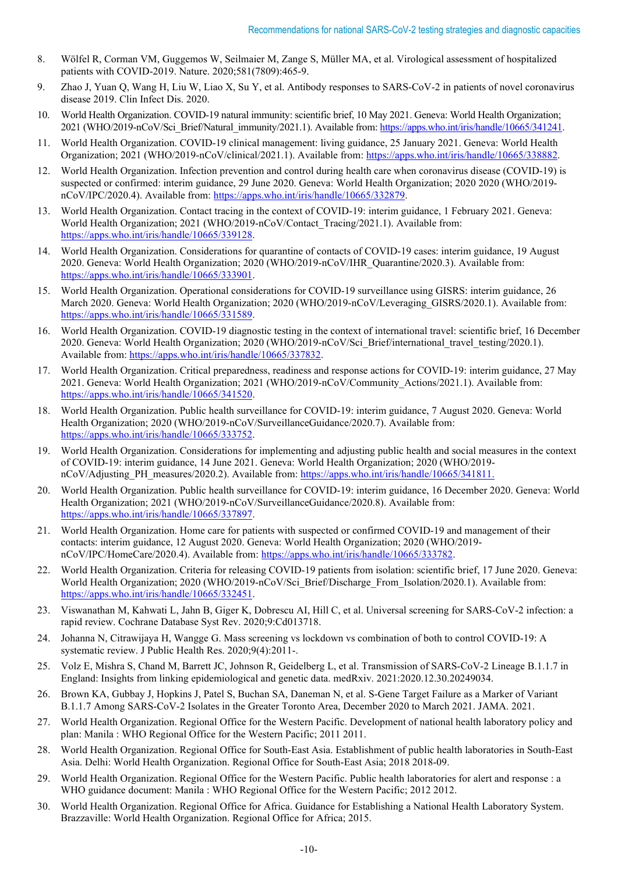- 8. Wölfel R, Corman VM, Guggemos W, Seilmaier M, Zange S, Müller MA, et al. Virological assessment of hospitalized patients with COVID-2019. Nature. 2020;581(7809):465-9.
- 9. Zhao J, Yuan Q, Wang H, Liu W, Liao X, Su Y, et al. Antibody responses to SARS-CoV-2 in patients of novel coronavirus disease 2019. Clin Infect Dis. 2020.
- 10. World Health Organization. COVID-19 natural immunity: scientific brief, 10 May 2021. Geneva: World Health Organization; 2021 (WHO/2019-nCoV/Sci\_Brief/Natural\_immunity/2021.1). Available from[: https://apps.who.int/iris/handle/10665/341241.](https://apps.who.int/iris/handle/10665/341241)
- 11. World Health Organization. COVID-19 clinical management: living guidance, 25 January 2021. Geneva: World Health Organization; 2021 (WHO/2019-nCoV/clinical/2021.1). Available from: [https://apps.who.int/iris/handle/10665/338882.](https://apps.who.int/iris/handle/10665/338882)
- 12. World Health Organization. Infection prevention and control during health care when coronavirus disease (COVID-19) is suspected or confirmed: interim guidance, 29 June 2020. Geneva: World Health Organization; 2020 2020 (WHO/2019 nCoV/IPC/2020.4). Available from[: https://apps.who.int/iris/handle/10665/332879.](https://apps.who.int/iris/handle/10665/332879)
- 13. World Health Organization. Contact tracing in the context of COVID-19: interim guidance, 1 February 2021. Geneva: World Health Organization; 2021 (WHO/2019-nCoV/Contact Tracing/2021.1). Available from: [https://apps.who.int/iris/handle/10665/339128.](https://apps.who.int/iris/handle/10665/339128)
- 14. World Health Organization. Considerations for quarantine of contacts of COVID-19 cases: interim guidance, 19 August 2020. Geneva: World Health Organization; 2020 (WHO/2019-nCoV/IHR\_Quarantine/2020.3). Available from: [https://apps.who.int/iris/handle/10665/333901.](https://apps.who.int/iris/handle/10665/333901)
- 15. World Health Organization. Operational considerations for COVID-19 surveillance using GISRS: interim guidance, 26 March 2020. Geneva: World Health Organization; 2020 (WHO/2019-nCoV/Leveraging GISRS/2020.1). Available from: [https://apps.who.int/iris/handle/10665/331589.](https://apps.who.int/iris/handle/10665/331589)
- 16. World Health Organization. COVID-19 diagnostic testing in the context of international travel: scientific brief, 16 December 2020. Geneva: World Health Organization; 2020 (WHO/2019-nCoV/Sci\_Brief/international\_travel\_testing/2020.1). Available from: [https://apps.who.int/iris/handle/10665/337832.](https://apps.who.int/iris/handle/10665/337832)
- 17. World Health Organization. Critical preparedness, readiness and response actions for COVID-19: interim guidance, 27 May 2021. Geneva: World Health Organization; 2021 (WHO/2019-nCoV/Community\_Actions/2021.1). Available from: [https://apps.who.int/iris/handle/10665/341520.](https://apps.who.int/iris/handle/10665/341520)
- 18. World Health Organization. Public health surveillance for COVID-19: interim guidance, 7 August 2020. Geneva: World Health Organization; 2020 (WHO/2019-nCoV/SurveillanceGuidance/2020.7). Available from: [https://apps.who.int/iris/handle/10665/333752.](https://apps.who.int/iris/handle/10665/333752)
- 19. World Health Organization. Considerations for implementing and adjusting public health and social measures in the context of COVID-19: interim guidance, 14 June 2021. Geneva: World Health Organization; 2020 (WHO/2019 nCoV/Adjusting\_PH\_measures/2020.2). Available from: [https://apps.who.int/iris/handle/10665/341811.](https://apps.who.int/iris/handle/10665/341811)
- 20. World Health Organization. Public health surveillance for COVID-19: interim guidance, 16 December 2020. Geneva: World Health Organization; 2021 (WHO/2019-nCoV/SurveillanceGuidance/2020.8). Available from: [https://apps.who.int/iris/handle/10665/337897.](https://apps.who.int/iris/handle/10665/337897)
- 21. World Health Organization. Home care for patients with suspected or confirmed COVID-19 and management of their contacts: interim guidance, 12 August 2020. Geneva: World Health Organization; 2020 (WHO/2019 nCoV/IPC/HomeCare/2020.4). Available from[: https://apps.who.int/iris/handle/10665/333782.](https://apps.who.int/iris/handle/10665/333782)
- 22. World Health Organization. Criteria for releasing COVID-19 patients from isolation: scientific brief, 17 June 2020. Geneva: World Health Organization; 2020 (WHO/2019-nCoV/Sci\_Brief/Discharge\_From\_Isolation/2020.1). Available from: [https://apps.who.int/iris/handle/10665/332451.](https://apps.who.int/iris/handle/10665/332451)
- 23. Viswanathan M, Kahwati L, Jahn B, Giger K, Dobrescu AI, Hill C, et al. Universal screening for SARS-CoV-2 infection: a rapid review. Cochrane Database Syst Rev. 2020;9:Cd013718.
- 24. Johanna N, Citrawijaya H, Wangge G. Mass screening vs lockdown vs combination of both to control COVID-19: A systematic review. J Public Health Res. 2020;9(4):2011-.
- 25. Volz E, Mishra S, Chand M, Barrett JC, Johnson R, Geidelberg L, et al. Transmission of SARS-CoV-2 Lineage B.1.1.7 in England: Insights from linking epidemiological and genetic data. medRxiv. 2021:2020.12.30.20249034.
- 26. Brown KA, Gubbay J, Hopkins J, Patel S, Buchan SA, Daneman N, et al. S-Gene Target Failure as a Marker of Variant B.1.1.7 Among SARS-CoV-2 Isolates in the Greater Toronto Area, December 2020 to March 2021. JAMA. 2021.
- 27. World Health Organization. Regional Office for the Western Pacific. Development of national health laboratory policy and plan: Manila : WHO Regional Office for the Western Pacific; 2011 2011.
- 28. World Health Organization. Regional Office for South-East Asia. Establishment of public health laboratories in South-East Asia. Delhi: World Health Organization. Regional Office for South-East Asia; 2018 2018-09.
- 29. World Health Organization. Regional Office for the Western Pacific. Public health laboratories for alert and response : a WHO guidance document: Manila : WHO Regional Office for the Western Pacific; 2012 2012.
- 30. World Health Organization. Regional Office for Africa. Guidance for Establishing a National Health Laboratory System. Brazzaville: World Health Organization. Regional Office for Africa; 2015.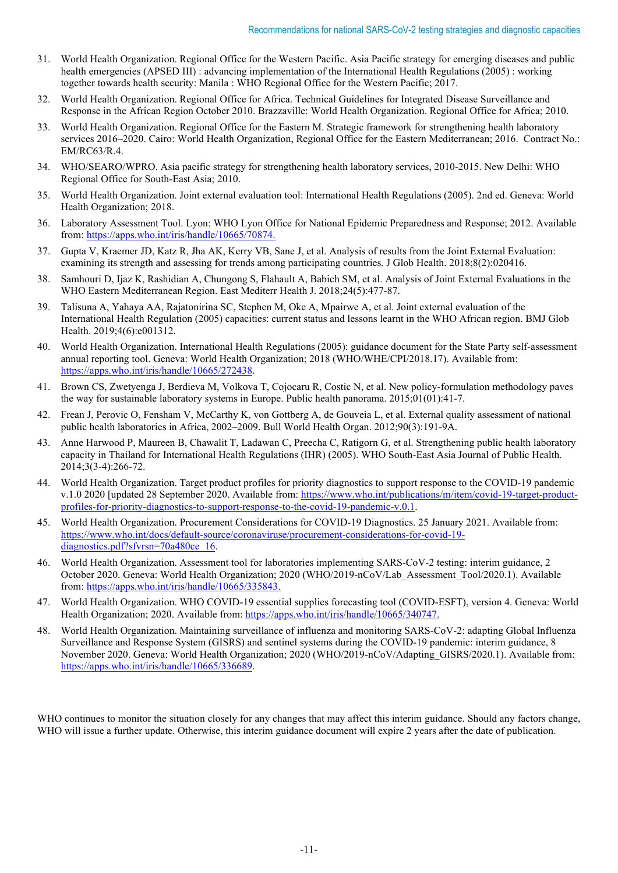- 31. World Health Organization. Regional Office for the Western Pacific. Asia Pacific strategy for emerging diseases and public health emergencies (APSED III) : advancing implementation of the International Health Regulations (2005) : working together towards health security: Manila : WHO Regional Office for the Western Pacific; 2017.
- 32. World Health Organization. Regional Office for Africa. Technical Guidelines for Integrated Disease Surveillance and Response in the African Region October 2010. Brazzaville: World Health Organization. Regional Office for Africa; 2010.
- 33. World Health Organization. Regional Office for the Eastern M. Strategic framework for strengthening health laboratory services 2016–2020. Cairo: World Health Organization, Regional Office for the Eastern Mediterranean; 2016. Contract No.: EM/RC63/R.4.
- 34. WHO/SEARO/WPRO. Asia pacific strategy for strengthening health laboratory services, 2010-2015. New Delhi: WHO Regional Office for South-East Asia; 2010.
- 35. World Health Organization. Joint external evaluation tool: International Health Regulations (2005). 2nd ed. Geneva: World Health Organization; 2018.
- 36. Laboratory Assessment Tool. Lyon: WHO Lyon Office for National Epidemic Preparedness and Response; 2012. Available from: [https://apps.who.int/iris/handle/10665/70874.](https://apps.who.int/iris/handle/10665/70874)
- 37. Gupta V, Kraemer JD, Katz R, Jha AK, Kerry VB, Sane J, et al. Analysis of results from the Joint External Evaluation: examining its strength and assessing for trends among participating countries. J Glob Health. 2018;8(2):020416.
- 38. Samhouri D, Ijaz K, Rashidian A, Chungong S, Flahault A, Babich SM, et al. Analysis of Joint External Evaluations in the WHO Eastern Mediterranean Region. East Mediterr Health J. 2018;24(5):477-87.
- 39. Talisuna A, Yahaya AA, Rajatonirina SC, Stephen M, Oke A, Mpairwe A, et al. Joint external evaluation of the International Health Regulation (2005) capacities: current status and lessons learnt in the WHO African region. BMJ Glob Health. 2019;4(6):e001312.
- 40. World Health Organization. International Health Regulations (2005): guidance document for the State Party self-assessment annual reporting tool. Geneva: World Health Organization; 2018 (WHO/WHE/CPI/2018.17). Available from: [https://apps.who.int/iris/handle/10665/272438.](https://apps.who.int/iris/handle/10665/272438)
- 41. Brown CS, Zwetyenga J, Berdieva M, Volkova T, Cojocaru R, Costic N, et al. New policy-formulation methodology paves the way for sustainable laboratory systems in Europe. Public health panorama. 2015;01(01):41-7.
- 42. Frean J, Perovic O, Fensham V, McCarthy K, von Gottberg A, de Gouveia L, et al. External quality assessment of national public health laboratories in Africa, 2002–2009. Bull World Health Organ. 2012;90(3):191-9A.
- 43. Anne Harwood P, Maureen B, Chawalit T, Ladawan C, Preecha C, Ratigorn G, et al. Strengthening public health laboratory capacity in Thailand for International Health Regulations (IHR) (2005). WHO South-East Asia Journal of Public Health. 2014;3(3-4):266-72.
- 44. World Health Organization. Target product profiles for priority diagnostics to support response to the COVID-19 pandemic v.1.0 2020 [updated 28 September 2020. Available from: [https://www.who.int/publications/m/item/covid-19-target-product](https://www.who.int/publications/m/item/covid-19-target-product-profiles-for-priority-diagnostics-to-support-response-to-the-covid-19-pandemic-v.0.1)[profiles-for-priority-diagnostics-to-support-response-to-the-covid-19-pandemic-v.0.1.](https://www.who.int/publications/m/item/covid-19-target-product-profiles-for-priority-diagnostics-to-support-response-to-the-covid-19-pandemic-v.0.1)
- 45. World Health Organization. Procurement Considerations for COVID-19 Diagnostics. 25 January 2021. Available from: [https://www.who.int/docs/default-source/coronaviruse/procurement-considerations-for-covid-19](https://www.who.int/docs/default-source/coronaviruse/procurement-considerations-for-covid-19-diagnostics.pdf?sfvrsn=70a480ce_16) [diagnostics.pdf?sfvrsn=70a480ce\\_16.](https://www.who.int/docs/default-source/coronaviruse/procurement-considerations-for-covid-19-diagnostics.pdf?sfvrsn=70a480ce_16)
- 46. World Health Organization. Assessment tool for laboratories implementing SARS-CoV-2 testing: interim guidance, 2 October 2020. Geneva: World Health Organization; 2020 (WHO/2019-nCoV/Lab\_Assessment\_Tool/2020.1). Available from[: https://apps.who.int/iris/handle/10665/335843.](https://apps.who.int/iris/handle/10665/335843)
- 47. World Health Organization. WHO COVID-19 essential supplies forecasting tool (COVID-ESFT), version 4. Geneva: World Health Organization; 2020. Available from[: https://apps.who.int/iris/handle/10665/340747.](https://apps.who.int/iris/handle/10665/340747)
- 48. World Health Organization. Maintaining surveillance of influenza and monitoring SARS-CoV-2: adapting Global Influenza Surveillance and Response System (GISRS) and sentinel systems during the COVID-19 pandemic: interim guidance, 8 November 2020. Geneva: World Health Organization; 2020 (WHO/2019-nCoV/Adapting\_GISRS/2020.1). Available from: [https://apps.who.int/iris/handle/10665/336689.](https://apps.who.int/iris/handle/10665/336689)

WHO continues to monitor the situation closely for any changes that may affect this interim guidance. Should any factors change, WHO will issue a further update. Otherwise, this interim guidance document will expire 2 years after the date of publication.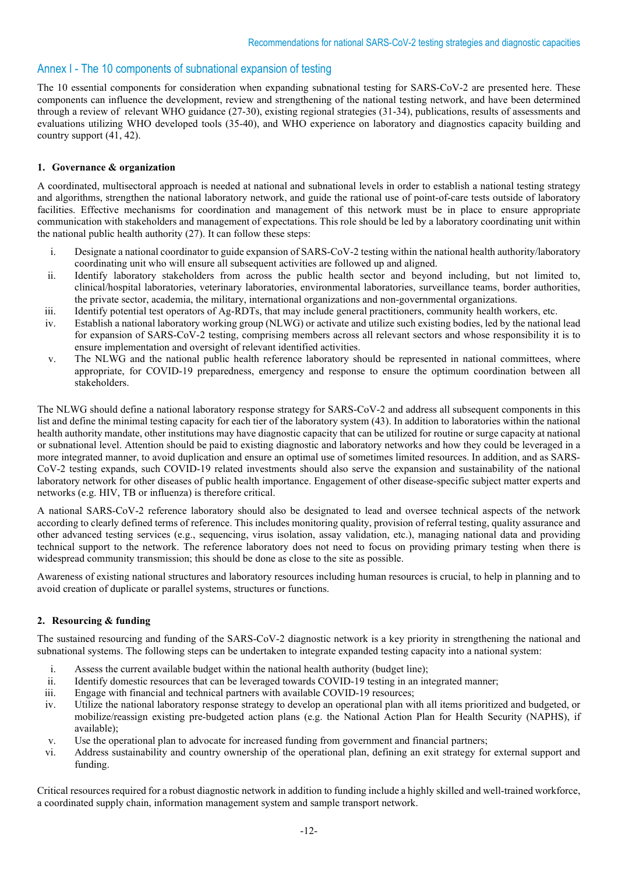## Annex I - The 10 components of subnational expansion of testing

The 10 essential components for consideration when expanding subnational testing for SARS-CoV-2 are presented here. These components can influence the development, review and strengthening of the national testing network, and have been determined through a review of relevant WHO guidance (27-30), existing regional strategies (31-34), publications, results of assessments and evaluations utilizing WHO developed tools (35-40), and WHO experience on laboratory and diagnostics capacity building and country support (41, 42).

#### **1. Governance & organization**

A coordinated, multisectoral approach is needed at national and subnational levels in order to establish a national testing strategy and algorithms, strengthen the national laboratory network, and guide the rational use of point-of-care tests outside of laboratory facilities. Effective mechanisms for coordination and management of this network must be in place to ensure appropriate communication with stakeholders and management of expectations. This role should be led by a laboratory coordinating unit within the national public health authority (27). It can follow these steps:

- i. Designate a national coordinator to guide expansion of SARS-CoV-2 testing within the national health authority/laboratory coordinating unit who will ensure all subsequent activities are followed up and aligned.
- ii. Identify laboratory stakeholders from across the public health sector and beyond including, but not limited to, clinical/hospital laboratories, veterinary laboratories, environmental laboratories, surveillance teams, border authorities, the private sector, academia, the military, international organizations and non-governmental organizations.
- iii. Identify potential test operators of Ag-RDTs, that may include general practitioners, community health workers, etc.
- iv. Establish a national laboratory working group (NLWG) or activate and utilize such existing bodies, led by the national lead for expansion of SARS-CoV-2 testing, comprising members across all relevant sectors and whose responsibility it is to ensure implementation and oversight of relevant identified activities.
- v. The NLWG and the national public health reference laboratory should be represented in national committees, where appropriate, for COVID-19 preparedness, emergency and response to ensure the optimum coordination between all stakeholders.

The NLWG should define a national laboratory response strategy for SARS-CoV-2 and address all subsequent components in this list and define the minimal testing capacity for each tier of the laboratory system (43). In addition to laboratories within the national health authority mandate, other institutions may have diagnostic capacity that can be utilized for routine or surge capacity at national or subnational level. Attention should be paid to existing diagnostic and laboratory networks and how they could be leveraged in a more integrated manner, to avoid duplication and ensure an optimal use of sometimes limited resources. In addition, and as SARS-CoV-2 testing expands, such COVID-19 related investments should also serve the expansion and sustainability of the national laboratory network for other diseases of public health importance. Engagement of other disease-specific subject matter experts and networks (e.g. HIV, TB or influenza) is therefore critical.

A national SARS-CoV-2 reference laboratory should also be designated to lead and oversee technical aspects of the network according to clearly defined terms of reference. This includes monitoring quality, provision of referral testing, quality assurance and other advanced testing services (e.g., sequencing, virus isolation, assay validation, etc.), managing national data and providing technical support to the network. The reference laboratory does not need to focus on providing primary testing when there is widespread community transmission; this should be done as close to the site as possible.

Awareness of existing national structures and laboratory resources including human resources is crucial, to help in planning and to avoid creation of duplicate or parallel systems, structures or functions.

#### **2. Resourcing & funding**

The sustained resourcing and funding of the SARS-CoV-2 diagnostic network is a key priority in strengthening the national and subnational systems. The following steps can be undertaken to integrate expanded testing capacity into a national system:

- i. Assess the current available budget within the national health authority (budget line);
- ii. Identify domestic resources that can be leveraged towards COVID-19 testing in an integrated manner;
- iii. Engage with financial and technical partners with available COVID-19 resources;
- iv. Utilize the national laboratory response strategy to develop an operational plan with all items prioritized and budgeted, or mobilize/reassign existing pre-budgeted action plans (e.g. the National Action Plan for Health Security (NAPHS), if available);
- v. Use the operational plan to advocate for increased funding from government and financial partners;
- vi. Address sustainability and country ownership of the operational plan, defining an exit strategy for external support and funding.

Critical resources required for a robust diagnostic network in addition to funding include a highly skilled and well-trained workforce, a coordinated supply chain, information management system and sample transport network.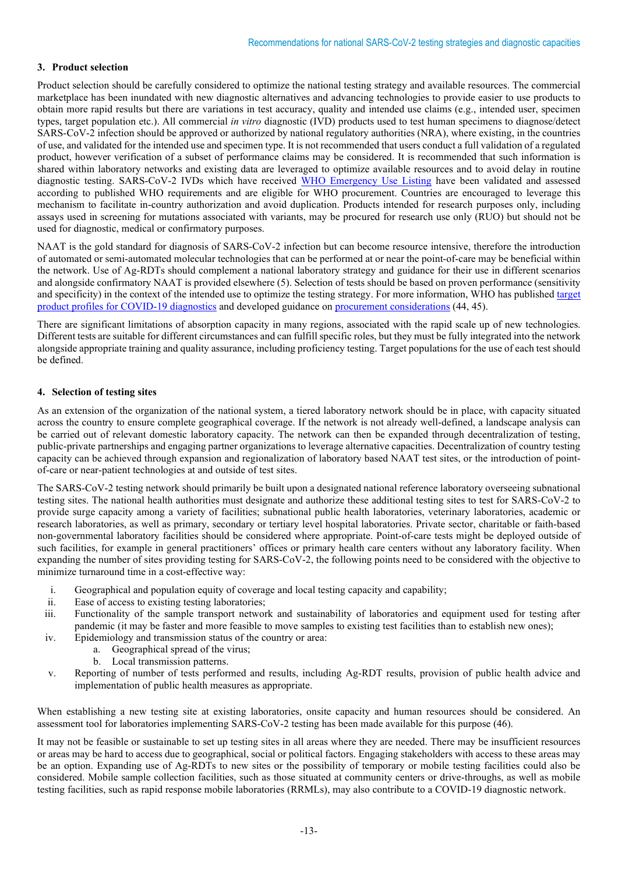## **3. Product selection**

Product selection should be carefully considered to optimize the national testing strategy and available resources. The commercial marketplace has been inundated with new diagnostic alternatives and advancing technologies to provide easier to use products to obtain more rapid results but there are variations in test accuracy, quality and intended use claims (e.g., intended user, specimen types, target population etc.). All commercial *in vitro* diagnostic (IVD) products used to test human specimens to diagnose/detect SARS-CoV-2 infection should be approved or authorized by national regulatory authorities (NRA), where existing, in the countries of use, and validated for the intended use and specimen type. It is not recommended that users conduct a full validation of a regulated product, however verification of a subset of performance claims may be considered. It is recommended that such information is shared within laboratory networks and existing data are leveraged to optimize available resources and to avoid delay in routine diagnostic testing. SARS-CoV-2 IVDs which have received [WHO Emergency Use Listing](https://extranet.who.int/pqweb/vitro-diagnostics/coronavirus-disease-covid-19-pandemic-%E2%80%94-emergency-use-listing-procedure-eul-open) have been validated and assessed according to published WHO requirements and are eligible for WHO procurement. Countries are encouraged to leverage this mechanism to facilitate in-country authorization and avoid duplication. Products intended for research purposes only, including assays used in screening for mutations associated with variants, may be procured for research use only (RUO) but should not be used for diagnostic, medical or confirmatory purposes.

NAAT is the gold standard for diagnosis of SARS-CoV-2 infection but can become resource intensive, therefore the introduction of automated or semi-automated molecular technologies that can be performed at or near the point-of-care may be beneficial within the network. Use of Ag-RDTs should complement a national laboratory strategy and guidance for their use in different scenarios and alongside confirmatory NAAT is provided elsewhere (5). Selection of tests should be based on proven performance (sensitivity and specificity) in the context of the intended use to optimize the testing strategy. For more information, WHO has publishe[d target](https://www.who.int/publications/m/item/covid-19-target-product-profiles-for-priority-diagnostics-to-support-response-to-the-covid-19-pandemic-v.0.1)  [product profiles for COVID-19 diagnostics](https://www.who.int/publications/m/item/covid-19-target-product-profiles-for-priority-diagnostics-to-support-response-to-the-covid-19-pandemic-v.0.1) and developed guidance on [procurement considerations](https://www.who.int/docs/default-source/coronaviruse/procurement-considerations-for-covid-19-diagnostics.pdf?sfvrsn=70a480ce_16) (44, 45).

There are significant limitations of absorption capacity in many regions, associated with the rapid scale up of new technologies. Different tests are suitable for different circumstances and can fulfill specific roles, but they must be fully integrated into the network alongside appropriate training and quality assurance, including proficiency testing. Target populations for the use of each test should be defined.

## **4. Selection of testing sites**

As an extension of the organization of the national system, a tiered laboratory network should be in place, with capacity situated across the country to ensure complete geographical coverage. If the network is not already well-defined, a landscape analysis can be carried out of relevant domestic laboratory capacity. The network can then be expanded through decentralization of testing, public-private partnerships and engaging partner organizations to leverage alternative capacities. Decentralization of country testing capacity can be achieved through expansion and regionalization of laboratory based NAAT test sites, or the introduction of pointof-care or near-patient technologies at and outside of test sites.

The SARS-CoV-2 testing network should primarily be built upon a designated national reference laboratory overseeing subnational testing sites. The national health authorities must designate and authorize these additional testing sites to test for SARS-CoV-2 to provide surge capacity among a variety of facilities; subnational public health laboratories, veterinary laboratories, academic or research laboratories, as well as primary, secondary or tertiary level hospital laboratories. Private sector, charitable or faith-based non-governmental laboratory facilities should be considered where appropriate. Point-of-care tests might be deployed outside of such facilities, for example in general practitioners' offices or primary health care centers without any laboratory facility. When expanding the number of sites providing testing for SARS-CoV-2, the following points need to be considered with the objective to minimize turnaround time in a cost-effective way:

- i. Geographical and population equity of coverage and local testing capacity and capability;
- ii. Ease of access to existing testing laboratories;
- iii. Functionality of the sample transport network and sustainability of laboratories and equipment used for testing after pandemic (it may be faster and more feasible to move samples to existing test facilities than to establish new ones);
- iv. Epidemiology and transmission status of the country or area:
	- a. Geographical spread of the virus;
		- b. Local transmission patterns.
- v. Reporting of number of tests performed and results, including Ag-RDT results, provision of public health advice and implementation of public health measures as appropriate.

When establishing a new testing site at existing laboratories, onsite capacity and human resources should be considered. An assessment tool for laboratories implementing SARS-CoV-2 testing has been made available for this purpose (46).

It may not be feasible or sustainable to set up testing sites in all areas where they are needed. There may be insufficient resources or areas may be hard to access due to geographical, social or political factors. Engaging stakeholders with access to these areas may be an option. Expanding use of Ag-RDTs to new sites or the possibility of temporary or mobile testing facilities could also be considered. Mobile sample collection facilities, such as those situated at community centers or drive-throughs, as well as mobile testing facilities, such as rapid response mobile laboratories (RRMLs), may also contribute to a COVID-19 diagnostic network.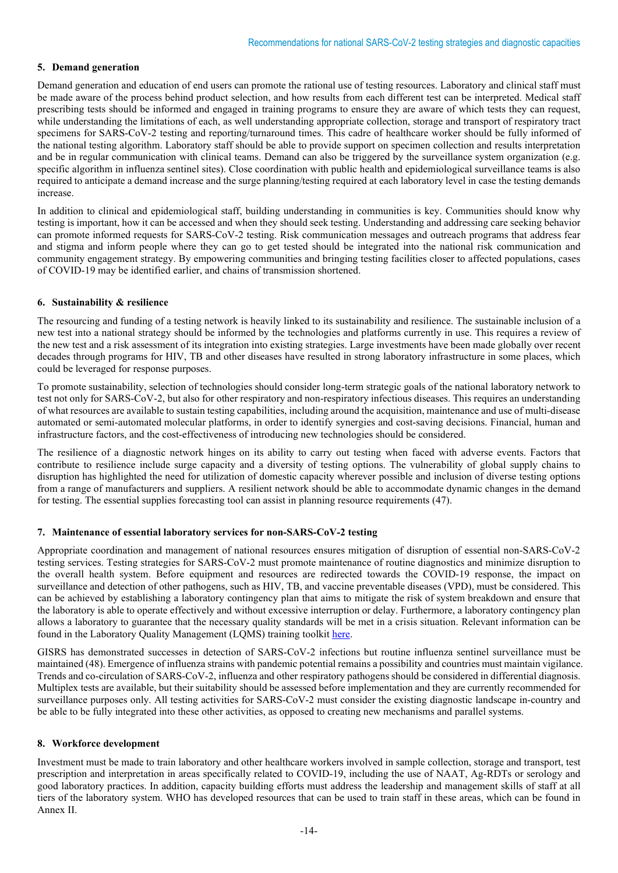#### **5. Demand generation**

Demand generation and education of end users can promote the rational use of testing resources. Laboratory and clinical staff must be made aware of the process behind product selection, and how results from each different test can be interpreted. Medical staff prescribing tests should be informed and engaged in training programs to ensure they are aware of which tests they can request, while understanding the limitations of each, as well understanding appropriate collection, storage and transport of respiratory tract specimens for SARS-CoV-2 testing and reporting/turnaround times. This cadre of healthcare worker should be fully informed of the national testing algorithm. Laboratory staff should be able to provide support on specimen collection and results interpretation and be in regular communication with clinical teams. Demand can also be triggered by the surveillance system organization (e.g. specific algorithm in influenza sentinel sites). Close coordination with public health and epidemiological surveillance teams is also required to anticipate a demand increase and the surge planning/testing required at each laboratory level in case the testing demands increase.

In addition to clinical and epidemiological staff, building understanding in communities is key. Communities should know why testing is important, how it can be accessed and when they should seek testing. Understanding and addressing care seeking behavior can promote informed requests for SARS-CoV-2 testing. Risk communication messages and outreach programs that address fear and stigma and inform people where they can go to get tested should be integrated into the national risk communication and community engagement strategy. By empowering communities and bringing testing facilities closer to affected populations, cases of COVID-19 may be identified earlier, and chains of transmission shortened.

## **6. Sustainability & resilience**

The resourcing and funding of a testing network is heavily linked to its sustainability and resilience. The sustainable inclusion of a new test into a national strategy should be informed by the technologies and platforms currently in use. This requires a review of the new test and a risk assessment of its integration into existing strategies. Large investments have been made globally over recent decades through programs for HIV, TB and other diseases have resulted in strong laboratory infrastructure in some places, which could be leveraged for response purposes.

To promote sustainability, selection of technologies should consider long-term strategic goals of the national laboratory network to test not only for SARS-CoV-2, but also for other respiratory and non-respiratory infectious diseases. This requires an understanding of what resources are available to sustain testing capabilities, including around the acquisition, maintenance and use of multi-disease automated or semi-automated molecular platforms, in order to identify synergies and cost-saving decisions. Financial, human and infrastructure factors, and the cost-effectiveness of introducing new technologies should be considered.

The resilience of a diagnostic network hinges on its ability to carry out testing when faced with adverse events. Factors that contribute to resilience include surge capacity and a diversity of testing options. The vulnerability of global supply chains to disruption has highlighted the need for utilization of domestic capacity wherever possible and inclusion of diverse testing options from a range of manufacturers and suppliers. A resilient network should be able to accommodate dynamic changes in the demand for testing. The essential supplies forecasting tool can assist in planning resource requirements (47).

#### **7. Maintenance of essential laboratory services for non-SARS-CoV-2 testing**

Appropriate coordination and management of national resources ensures mitigation of disruption of essential non-SARS-CoV-2 testing services. Testing strategies for SARS-CoV-2 must promote maintenance of routine diagnostics and minimize disruption to the overall health system. Before equipment and resources are redirected towards the COVID-19 response, the impact on surveillance and detection of other pathogens, such as HIV, TB, and vaccine preventable diseases (VPD), must be considered. This can be achieved by establishing a laboratory contingency plan that aims to mitigate the risk of system breakdown and ensure that the laboratory is able to operate effectively and without excessive interruption or delay. Furthermore, a laboratory contingency plan allows a laboratory to guarantee that the necessary quality standards will be met in a crisis situation. Relevant information can be found in the Laboratory Quality Management (LQMS) training toolkit [here.](https://extranet.who.int/hslp/content/LQMS-training-toolkit)

GISRS has demonstrated successes in detection of SARS-CoV-2 infections but routine influenza sentinel surveillance must be maintained (48). Emergence of influenza strains with pandemic potential remains a possibility and countries must maintain vigilance. Trends and co-circulation of SARS-CoV-2, influenza and other respiratory pathogens should be considered in differential diagnosis. Multiplex tests are available, but their suitability should be assessed before implementation and they are currently recommended for surveillance purposes only. All testing activities for SARS-CoV-2 must consider the existing diagnostic landscape in-country and be able to be fully integrated into these other activities, as opposed to creating new mechanisms and parallel systems.

## **8. Workforce development**

Investment must be made to train laboratory and other healthcare workers involved in sample collection, storage and transport, test prescription and interpretation in areas specifically related to COVID-19, including the use of NAAT, Ag-RDTs or serology and good laboratory practices. In addition, capacity building efforts must address the leadership and management skills of staff at all tiers of the laboratory system. WHO has developed resources that can be used to train staff in these areas, which can be found in Annex II.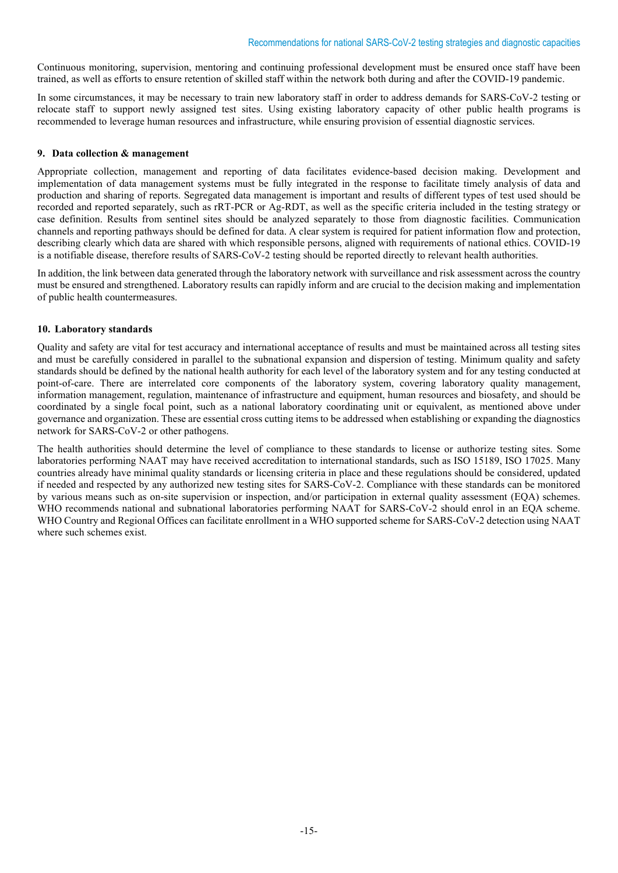Continuous monitoring, supervision, mentoring and continuing professional development must be ensured once staff have been trained, as well as efforts to ensure retention of skilled staff within the network both during and after the COVID-19 pandemic.

In some circumstances, it may be necessary to train new laboratory staff in order to address demands for SARS-CoV-2 testing or relocate staff to support newly assigned test sites. Using existing laboratory capacity of other public health programs is recommended to leverage human resources and infrastructure, while ensuring provision of essential diagnostic services.

#### **9. Data collection & management**

Appropriate collection, management and reporting of data facilitates evidence-based decision making. Development and implementation of data management systems must be fully integrated in the response to facilitate timely analysis of data and production and sharing of reports. Segregated data management is important and results of different types of test used should be recorded and reported separately, such as rRT-PCR or Ag-RDT, as well as the specific criteria included in the testing strategy or case definition. Results from sentinel sites should be analyzed separately to those from diagnostic facilities. Communication channels and reporting pathways should be defined for data. A clear system is required for patient information flow and protection, describing clearly which data are shared with which responsible persons, aligned with requirements of national ethics. COVID-19 is a notifiable disease, therefore results of SARS-CoV-2 testing should be reported directly to relevant health authorities.

In addition, the link between data generated through the laboratory network with surveillance and risk assessment across the country must be ensured and strengthened. Laboratory results can rapidly inform and are crucial to the decision making and implementation of public health countermeasures.

## **10. Laboratory standards**

Quality and safety are vital for test accuracy and international acceptance of results and must be maintained across all testing sites and must be carefully considered in parallel to the subnational expansion and dispersion of testing. Minimum quality and safety standards should be defined by the national health authority for each level of the laboratory system and for any testing conducted at point-of-care. There are interrelated core components of the laboratory system, covering laboratory quality management, information management, regulation, maintenance of infrastructure and equipment, human resources and biosafety, and should be coordinated by a single focal point, such as a national laboratory coordinating unit or equivalent, as mentioned above under governance and organization. These are essential cross cutting items to be addressed when establishing or expanding the diagnostics network for SARS-CoV-2 or other pathogens.

The health authorities should determine the level of compliance to these standards to license or authorize testing sites. Some laboratories performing NAAT may have received accreditation to international standards, such as ISO 15189, ISO 17025. Many countries already have minimal quality standards or licensing criteria in place and these regulations should be considered, updated if needed and respected by any authorized new testing sites for SARS-CoV-2. Compliance with these standards can be monitored by various means such as on-site supervision or inspection, and/or participation in external quality assessment (EQA) schemes. WHO recommends national and subnational laboratories performing NAAT for SARS-CoV-2 should enrol in an EQA scheme. WHO Country and Regional Offices can facilitate enrollment in a WHO supported scheme for SARS-CoV-2 detection using NAAT where such schemes exist.